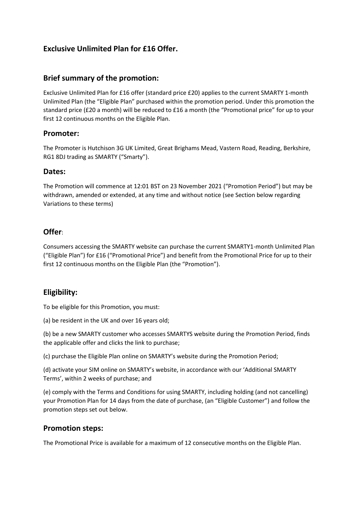# **Exclusive Unlimited Plan for £16 Offer.**

#### **Brief summary of the promotion:**

Exclusive Unlimited Plan for £16 offer (standard price £20) applies to the current SMARTY 1-month Unlimited Plan (the "Eligible Plan" purchased within the promotion period. Under this promotion the standard price (£20 a month) will be reduced to £16 a month (the "Promotional price" for up to your first 12 continuous months on the Eligible Plan.

#### **Promoter:**

The Promoter is Hutchison 3G UK Limited, Great Brighams Mead, Vastern Road, Reading, Berkshire, RG1 8DJ trading as SMARTY ("Smarty").

#### **Dates:**

The Promotion will commence at 12:01 BST on 23 November 2021 ("Promotion Period") but may be withdrawn, amended or extended, at any time and without notice (see Section below regarding Variations to these terms)

## **Offer**:

Consumers accessing the SMARTY website can purchase the current SMARTY1-month Unlimited Plan ("Eligible Plan") for £16 ("Promotional Price") and benefit from the Promotional Price for up to their first 12 continuous months on the Eligible Plan (the "Promotion").

## **Eligibility:**

To be eligible for this Promotion, you must:

(a) be resident in the UK and over 16 years old;

(b) be a new SMARTY customer who accesses SMARTYS website during the Promotion Period, finds the applicable offer and clicks the link to purchase;

(c) purchase the Eligible Plan online on SMARTY's website during the Promotion Period;

(d) activate your SIM online on SMARTY's website, in accordance with our 'Additional SMARTY Terms', within 2 weeks of purchase; and

(e) comply with the Terms and Conditions for using SMARTY, including holding (and not cancelling) your Promotion Plan for 14 days from the date of purchase, (an "Eligible Customer") and follow the promotion steps set out below.

## **Promotion steps:**

The Promotional Price is available for a maximum of 12 consecutive months on the Eligible Plan.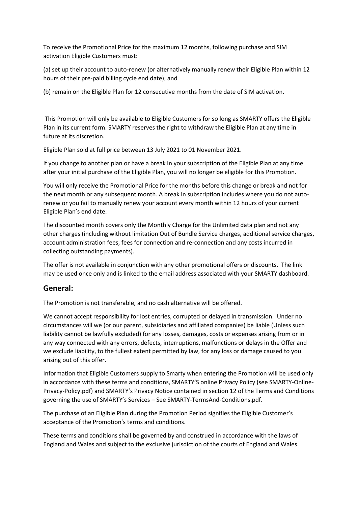To receive the Promotional Price for the maximum 12 months, following purchase and SIM activation Eligible Customers must:

(a) set up their account to auto-renew (or alternatively manually renew their Eligible Plan within 12 hours of their pre-paid billing cycle end date); and

(b) remain on the Eligible Plan for 12 consecutive months from the date of SIM activation.

This Promotion will only be available to Eligible Customers for so long as SMARTY offers the Eligible Plan in its current form. SMARTY reserves the right to withdraw the Eligible Plan at any time in future at its discretion.

Eligible Plan sold at full price between 13 July 2021 to 01 November 2021.

If you change to another plan or have a break in your subscription of the Eligible Plan at any time after your initial purchase of the Eligible Plan, you will no longer be eligible for this Promotion.

You will only receive the Promotional Price for the months before this change or break and not for the next month or any subsequent month. A break in subscription includes where you do not autorenew or you fail to manually renew your account every month within 12 hours of your current Eligible Plan's end date.

The discounted month covers only the Monthly Charge for the Unlimited data plan and not any other charges (including without limitation Out of Bundle Service charges, additional service charges, account administration fees, fees for connection and re-connection and any costs incurred in collecting outstanding payments).

The offer is not available in conjunction with any other promotional offers or discounts. The link may be used once only and is linked to the email address associated with your SMARTY dashboard.

## **General:**

The Promotion is not transferable, and no cash alternative will be offered.

We cannot accept responsibility for lost entries, corrupted or delayed in transmission. Under no circumstances will we (or our parent, subsidiaries and affiliated companies) be liable (Unless such liability cannot be lawfully excluded) for any losses, damages, costs or expenses arising from or in any way connected with any errors, defects, interruptions, malfunctions or delays in the Offer and we exclude liability, to the fullest extent permitted by law, for any loss or damage caused to you arising out of this offer.

Information that Eligible Customers supply to Smarty when entering the Promotion will be used only in accordance with these terms and conditions, SMARTY'S online Privacy Policy (see SMARTY-Online-Privacy-Policy.pdf) and SMARTY's Privacy Notice contained in section 12 of the Terms and Conditions governing the use of SMARTY's Services – See SMARTY-TermsAnd-Conditions.pdf.

The purchase of an Eligible Plan during the Promotion Period signifies the Eligible Customer's acceptance of the Promotion's terms and conditions.

These terms and conditions shall be governed by and construed in accordance with the laws of England and Wales and subject to the exclusive jurisdiction of the courts of England and Wales.